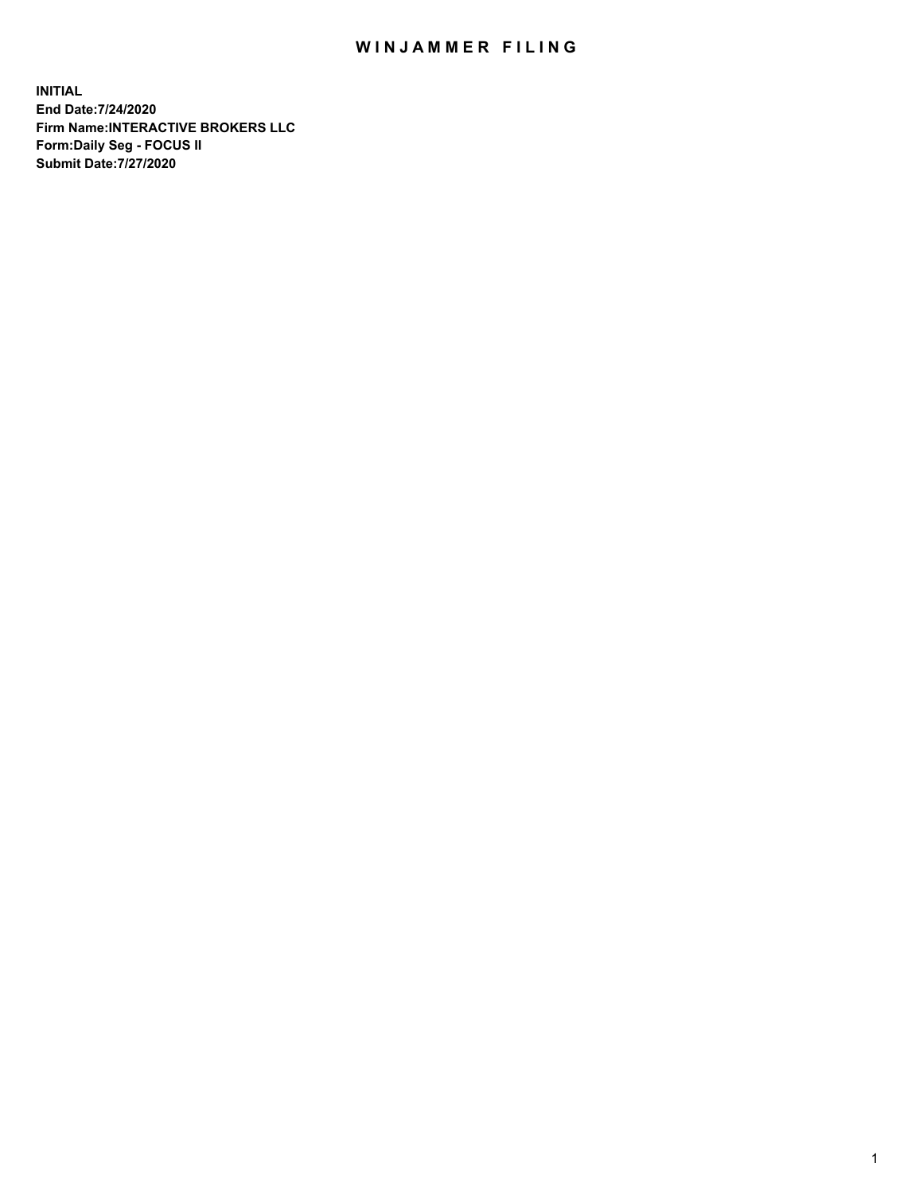## WIN JAMMER FILING

**INITIAL End Date:7/24/2020 Firm Name:INTERACTIVE BROKERS LLC Form:Daily Seg - FOCUS II Submit Date:7/27/2020**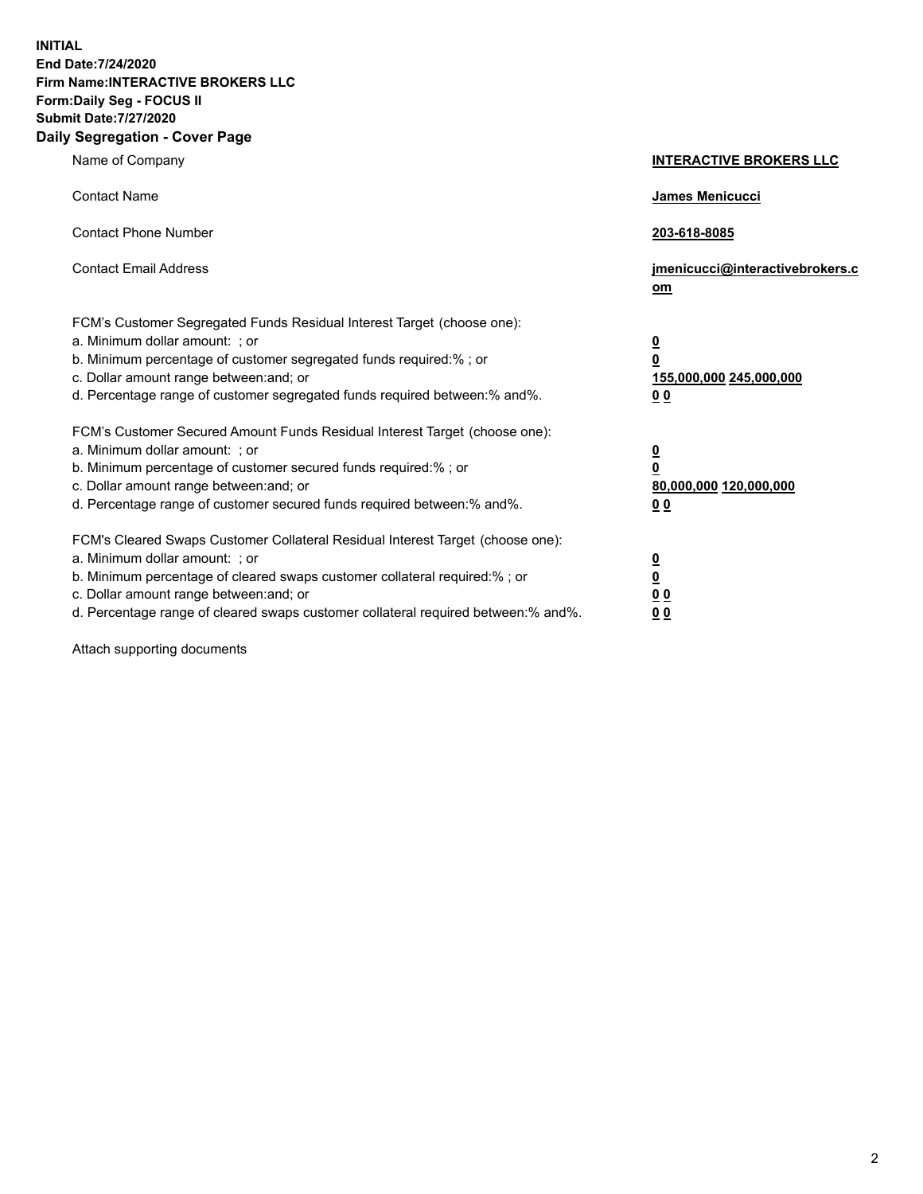**INITIAL End Date:7/24/2020 Firm Name:INTERACTIVE BROKERS LLC Form:Daily Seg - FOCUS II Submit Date:7/27/2020 Daily Segregation - Cover Page**

| Name of Company                                                                                                                                                                                                                                                                                                               | <b>INTERACTIVE BROKERS LLC</b>                                                                  |  |
|-------------------------------------------------------------------------------------------------------------------------------------------------------------------------------------------------------------------------------------------------------------------------------------------------------------------------------|-------------------------------------------------------------------------------------------------|--|
| <b>Contact Name</b>                                                                                                                                                                                                                                                                                                           | James Menicucci                                                                                 |  |
| <b>Contact Phone Number</b>                                                                                                                                                                                                                                                                                                   | 203-618-8085                                                                                    |  |
| <b>Contact Email Address</b>                                                                                                                                                                                                                                                                                                  | jmenicucci@interactivebrokers.c<br><u>om</u>                                                    |  |
| FCM's Customer Segregated Funds Residual Interest Target (choose one):<br>a. Minimum dollar amount: ; or<br>b. Minimum percentage of customer segregated funds required:% ; or<br>c. Dollar amount range between: and; or<br>d. Percentage range of customer segregated funds required between:% and%.                        | $\overline{\mathbf{0}}$<br>$\overline{\mathbf{0}}$<br>155,000,000 245,000,000<br>0 <sub>0</sub> |  |
| FCM's Customer Secured Amount Funds Residual Interest Target (choose one):<br>a. Minimum dollar amount: ; or<br>b. Minimum percentage of customer secured funds required:%; or<br>c. Dollar amount range between: and; or<br>d. Percentage range of customer secured funds required between:% and%.                           | $\overline{\mathbf{0}}$<br>$\overline{\mathbf{0}}$<br>80,000,000 120,000,000<br>0 <sub>0</sub>  |  |
| FCM's Cleared Swaps Customer Collateral Residual Interest Target (choose one):<br>a. Minimum dollar amount: ; or<br>b. Minimum percentage of cleared swaps customer collateral required:%; or<br>c. Dollar amount range between: and; or<br>d. Percentage range of cleared swaps customer collateral required between:% and%. | $\overline{\mathbf{0}}$<br>$\overline{\mathbf{0}}$<br>0 <sub>0</sub><br>0 <sub>0</sub>          |  |

Attach supporting documents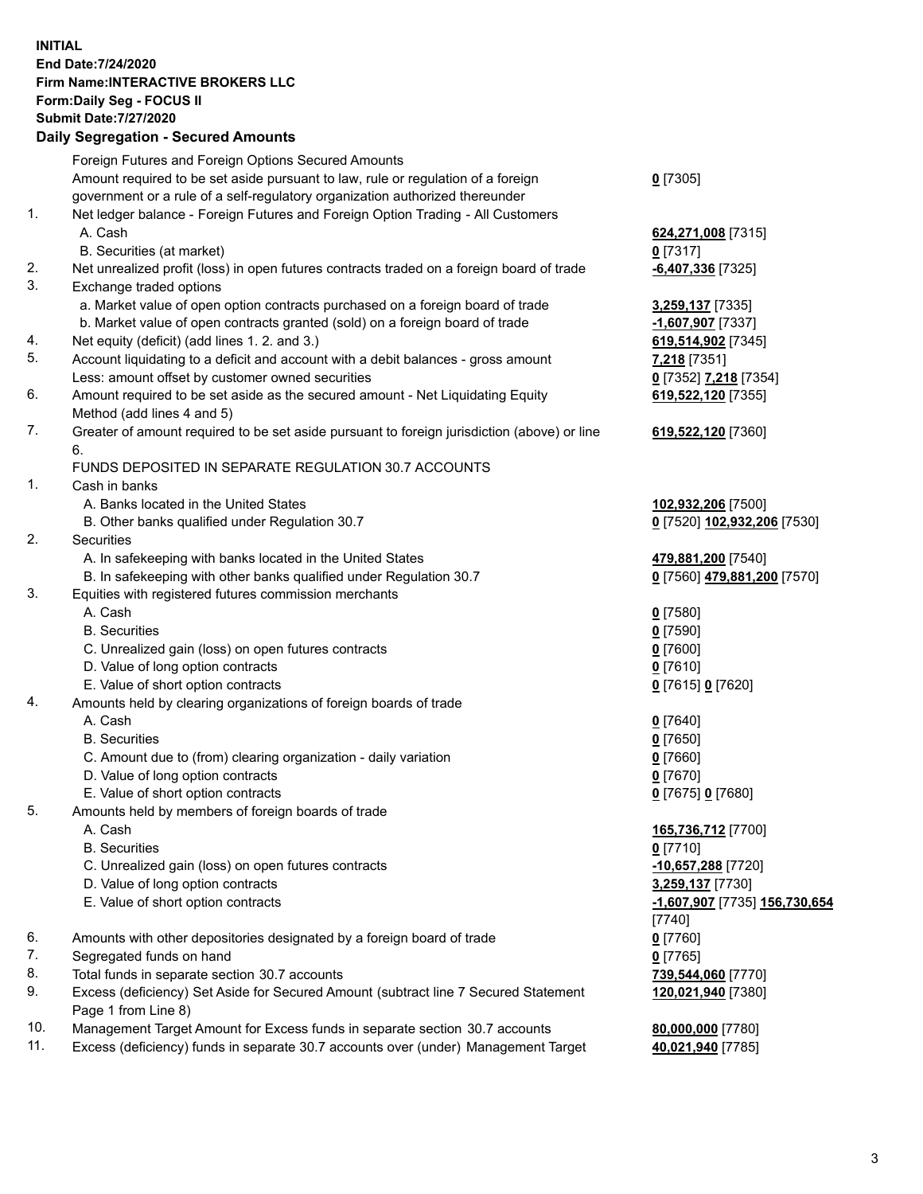**INITIAL End Date:7/24/2020 Firm Name:INTERACTIVE BROKERS LLC Form:Daily Seg - FOCUS II Submit Date:7/27/2020 Daily Segregation - Secured Amounts**

## Foreign Futures and Foreign Options Secured Amounts Amount required to be set aside pursuant to law, rule or regulation of a foreign government or a rule of a self-regulatory organization authorized thereunder **0** [7305] 1. Net ledger balance - Foreign Futures and Foreign Option Trading - All Customers A. Cash **624,271,008** [7315] B. Securities (at market) **0** [7317] 2. Net unrealized profit (loss) in open futures contracts traded on a foreign board of trade **-6,407,336** [7325] 3. Exchange traded options a. Market value of open option contracts purchased on a foreign board of trade **3,259,137** [7335] b. Market value of open contracts granted (sold) on a foreign board of trade **-1,607,907** [7337] 4. Net equity (deficit) (add lines 1. 2. and 3.) **619,514,902** [7345] 5. Account liquidating to a deficit and account with a debit balances - gross amount **7,218** [7351] Less: amount offset by customer owned securities **0** [7352] **7,218** [7354] 6. Amount required to be set aside as the secured amount - Net Liquidating Equity Method (add lines 4 and 5) **619,522,120** [7355] 7. Greater of amount required to be set aside pursuant to foreign jurisdiction (above) or line 6. **619,522,120** [7360] FUNDS DEPOSITED IN SEPARATE REGULATION 30.7 ACCOUNTS 1. Cash in banks A. Banks located in the United States **102,932,206** [7500] B. Other banks qualified under Regulation 30.7 **0** [7520] **102,932,206** [7530] 2. Securities A. In safekeeping with banks located in the United States **479,881,200** [7540] B. In safekeeping with other banks qualified under Regulation 30.7 **0** [7560] **479,881,200** [7570] 3. Equities with registered futures commission merchants A. Cash **0** [7580] B. Securities **0** [7590] C. Unrealized gain (loss) on open futures contracts **0** [7600] D. Value of long option contracts **0** [7610] E. Value of short option contracts **0** [7615] **0** [7620] 4. Amounts held by clearing organizations of foreign boards of trade A. Cash **0** [7640] B. Securities **0** [7650] C. Amount due to (from) clearing organization - daily variation **0** [7660] D. Value of long option contracts **0** [7670] E. Value of short option contracts **0** [7675] **0** [7680] 5. Amounts held by members of foreign boards of trade A. Cash **165,736,712** [7700] B. Securities **0** [7710] C. Unrealized gain (loss) on open futures contracts **-10,657,288** [7720] D. Value of long option contracts **3,259,137** [7730] E. Value of short option contracts **-1,607,907** [7735] **156,730,654** [7740] 6. Amounts with other depositories designated by a foreign board of trade **0** [7760] 7. Segregated funds on hand **0** [7765] 8. Total funds in separate section 30.7 accounts **739,544,060** [7770] 9. Excess (deficiency) Set Aside for Secured Amount (subtract line 7 Secured Statement Page 1 from Line 8) **120,021,940** [7380] 10. Management Target Amount for Excess funds in separate section 30.7 accounts **80,000,000** [7780] 11. Excess (deficiency) funds in separate 30.7 accounts over (under) Management Target **40,021,940** [7785]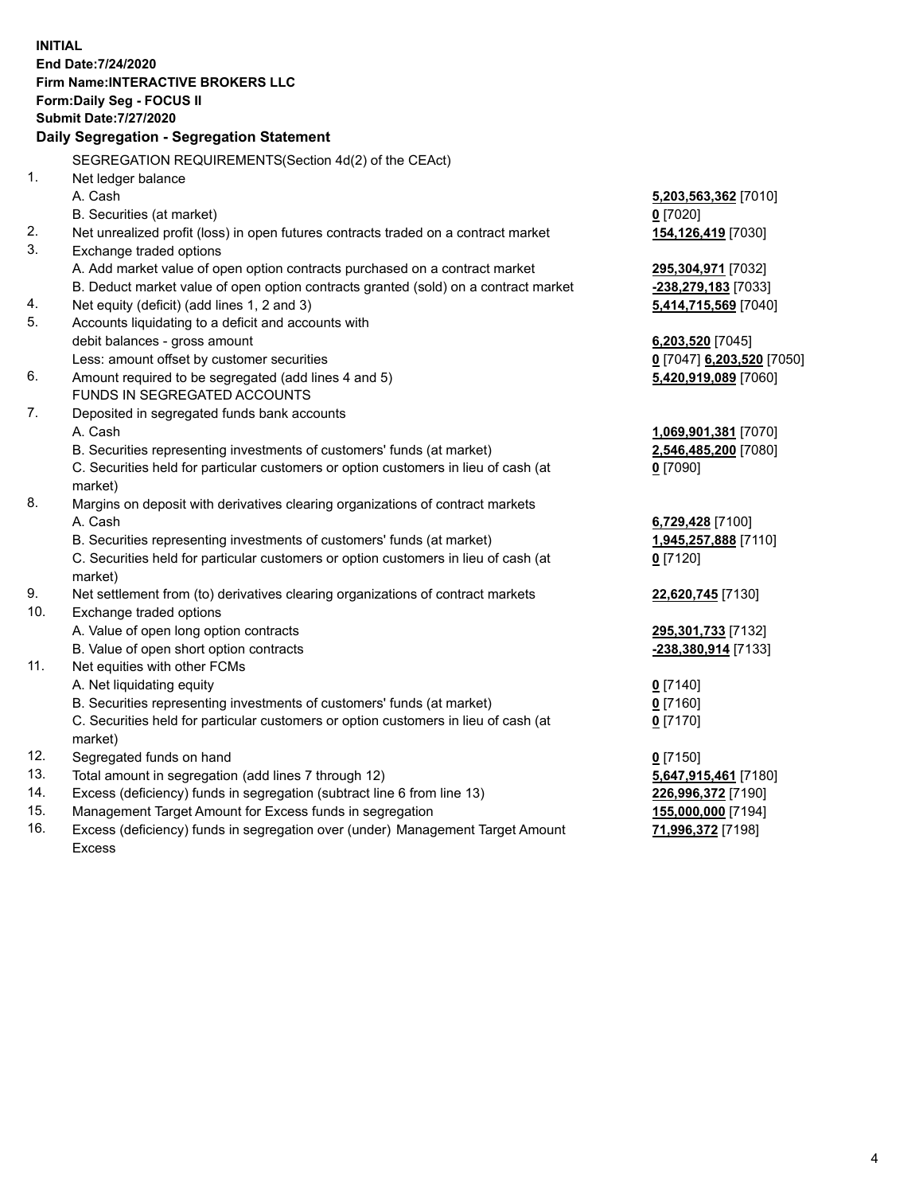**INITIAL End Date:7/24/2020 Firm Name:INTERACTIVE BROKERS LLC Form:Daily Seg - FOCUS II Submit Date:7/27/2020 Daily Segregation - Segregation Statement** SEGREGATION REQUIREMENTS(Section 4d(2) of the CEAct) 1. Net ledger balance A. Cash **5,203,563,362** [7010] B. Securities (at market) **0** [7020] 2. Net unrealized profit (loss) in open futures contracts traded on a contract market **154,126,419** [7030] 3. Exchange traded options A. Add market value of open option contracts purchased on a contract market **295,304,971** [7032] B. Deduct market value of open option contracts granted (sold) on a contract market **-238,279,183** [7033] 4. Net equity (deficit) (add lines 1, 2 and 3) **5,414,715,569** [7040] 5. Accounts liquidating to a deficit and accounts with debit balances - gross amount **6,203,520** [7045] Less: amount offset by customer securities **0** [7047] **6,203,520** [7050] 6. Amount required to be segregated (add lines 4 and 5) **5,420,919,089** [7060] FUNDS IN SEGREGATED ACCOUNTS 7. Deposited in segregated funds bank accounts A. Cash **1,069,901,381** [7070] B. Securities representing investments of customers' funds (at market) **2,546,485,200** [7080] C. Securities held for particular customers or option customers in lieu of cash (at market) **0** [7090] 8. Margins on deposit with derivatives clearing organizations of contract markets A. Cash **6,729,428** [7100] B. Securities representing investments of customers' funds (at market) **1,945,257,888** [7110] C. Securities held for particular customers or option customers in lieu of cash (at market) **0** [7120] 9. Net settlement from (to) derivatives clearing organizations of contract markets **22,620,745** [7130] 10. Exchange traded options A. Value of open long option contracts **295,301,733** [7132] B. Value of open short option contracts **-238,380,914** [7133] 11. Net equities with other FCMs A. Net liquidating equity **0** [7140] B. Securities representing investments of customers' funds (at market) **0** [7160] C. Securities held for particular customers or option customers in lieu of cash (at market) **0** [7170] 12. Segregated funds on hand **0** [7150] 13. Total amount in segregation (add lines 7 through 12) **5,647,915,461** [7180] 14. Excess (deficiency) funds in segregation (subtract line 6 from line 13) **226,996,372** [7190] 15. Management Target Amount for Excess funds in segregation **155,000,000** [7194]

16. Excess (deficiency) funds in segregation over (under) Management Target Amount Excess

**71,996,372** [7198]